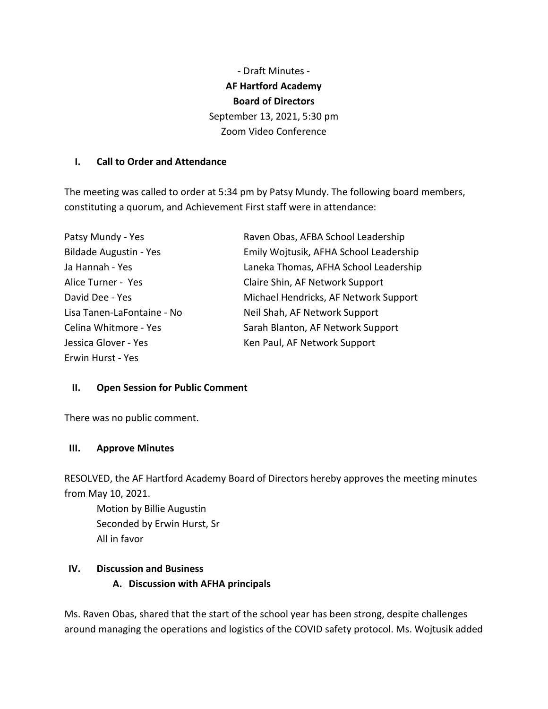- Draft Minutes - **AF Hartford Academy Board of Directors** September 13, 2021, 5:30 pm Zoom Video Conference

#### **I. Call to Order and Attendance**

The meeting was called to order at 5:34 pm by Patsy Mundy. The following board members, constituting a quorum, and Achievement First staff were in attendance:

| Patsy Mundy - Yes             | Raven Obas, AFBA School Leadership     |
|-------------------------------|----------------------------------------|
| <b>Bildade Augustin - Yes</b> | Emily Wojtusik, AFHA School Leadership |
| Ja Hannah - Yes               | Laneka Thomas, AFHA School Leadership  |
| Alice Turner - Yes            | Claire Shin, AF Network Support        |
| David Dee - Yes               | Michael Hendricks, AF Network Support  |
| Lisa Tanen-LaFontaine - No    | Neil Shah, AF Network Support          |
| Celina Whitmore - Yes         | Sarah Blanton, AF Network Support      |
| Jessica Glover - Yes          | Ken Paul, AF Network Support           |
| Erwin Hurst - Yes             |                                        |

#### **II. Open Session for Public Comment**

There was no public comment.

#### **III. Approve Minutes**

RESOLVED, the AF Hartford Academy Board of Directors hereby approves the meeting minutes from May 10, 2021.

Motion by Billie Augustin Seconded by Erwin Hurst, Sr All in favor

#### **IV. Discussion and Business**

#### **A. Discussion with AFHA principals**

Ms. Raven Obas, shared that the start of the school year has been strong, despite challenges around managing the operations and logistics of the COVID safety protocol. Ms. Wojtusik added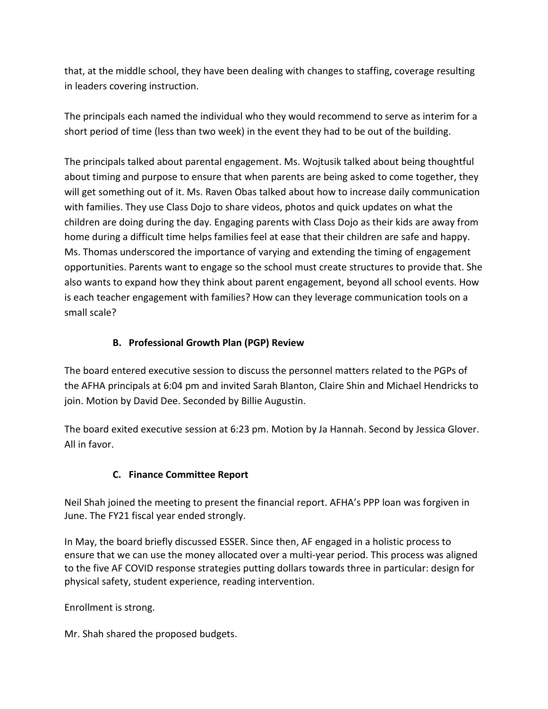that, at the middle school, they have been dealing with changes to staffing, coverage resulting in leaders covering instruction.

The principals each named the individual who they would recommend to serve as interim for a short period of time (less than two week) in the event they had to be out of the building.

The principals talked about parental engagement. Ms. Wojtusik talked about being thoughtful about timing and purpose to ensure that when parents are being asked to come together, they will get something out of it. Ms. Raven Obas talked about how to increase daily communication with families. They use Class Dojo to share videos, photos and quick updates on what the children are doing during the day. Engaging parents with Class Dojo as their kids are away from home during a difficult time helps families feel at ease that their children are safe and happy. Ms. Thomas underscored the importance of varying and extending the timing of engagement opportunities. Parents want to engage so the school must create structures to provide that. She also wants to expand how they think about parent engagement, beyond all school events. How is each teacher engagement with families? How can they leverage communication tools on a small scale?

# **B. Professional Growth Plan (PGP) Review**

The board entered executive session to discuss the personnel matters related to the PGPs of the AFHA principals at 6:04 pm and invited Sarah Blanton, Claire Shin and Michael Hendricks to join. Motion by David Dee. Seconded by Billie Augustin.

The board exited executive session at 6:23 pm. Motion by Ja Hannah. Second by Jessica Glover. All in favor.

# **C. Finance Committee Report**

Neil Shah joined the meeting to present the financial report. AFHA's PPP loan was forgiven in June. The FY21 fiscal year ended strongly.

In May, the board briefly discussed ESSER. Since then, AF engaged in a holistic process to ensure that we can use the money allocated over a multi-year period. This process was aligned to the five AF COVID response strategies putting dollars towards three in particular: design for physical safety, student experience, reading intervention.

Enrollment is strong.

Mr. Shah shared the proposed budgets.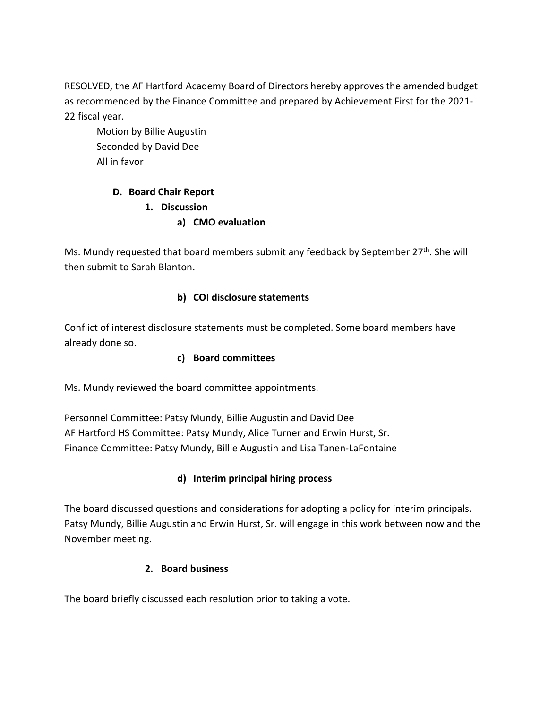RESOLVED, the AF Hartford Academy Board of Directors hereby approves the amended budget as recommended by the Finance Committee and prepared by Achievement First for the 2021- 22 fiscal year.

Motion by Billie Augustin Seconded by David Dee All in favor

# **D. Board Chair Report**

- **1. Discussion**
	- **a) CMO evaluation**

Ms. Mundy requested that board members submit any feedback by September 27<sup>th</sup>. She will then submit to Sarah Blanton.

# **b) COI disclosure statements**

Conflict of interest disclosure statements must be completed. Some board members have already done so.

### **c) Board committees**

Ms. Mundy reviewed the board committee appointments.

Personnel Committee: Patsy Mundy, Billie Augustin and David Dee AF Hartford HS Committee: Patsy Mundy, Alice Turner and Erwin Hurst, Sr. Finance Committee: Patsy Mundy, Billie Augustin and Lisa Tanen-LaFontaine

# **d) Interim principal hiring process**

The board discussed questions and considerations for adopting a policy for interim principals. Patsy Mundy, Billie Augustin and Erwin Hurst, Sr. will engage in this work between now and the November meeting.

# **2. Board business**

The board briefly discussed each resolution prior to taking a vote.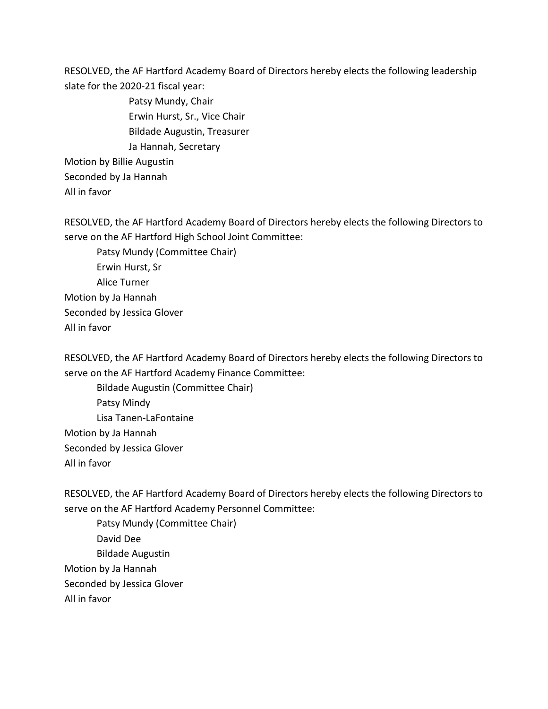RESOLVED, the AF Hartford Academy Board of Directors hereby elects the following leadership slate for the 2020-21 fiscal year:

Patsy Mundy, Chair Erwin Hurst, Sr., Vice Chair Bildade Augustin, Treasurer Ja Hannah, Secretary Motion by Billie Augustin Seconded by Ja Hannah All in favor

RESOLVED, the AF Hartford Academy Board of Directors hereby elects the following Directors to serve on the AF Hartford High School Joint Committee:

Patsy Mundy (Committee Chair) Erwin Hurst, Sr Alice Turner Motion by Ja Hannah Seconded by Jessica Glover All in favor

RESOLVED, the AF Hartford Academy Board of Directors hereby elects the following Directors to serve on the AF Hartford Academy Finance Committee:

Bildade Augustin (Committee Chair) Patsy Mindy Lisa Tanen-LaFontaine Motion by Ja Hannah Seconded by Jessica Glover All in favor

RESOLVED, the AF Hartford Academy Board of Directors hereby elects the following Directors to serve on the AF Hartford Academy Personnel Committee:

Patsy Mundy (Committee Chair) David Dee Bildade Augustin Motion by Ja Hannah Seconded by Jessica Glover All in favor